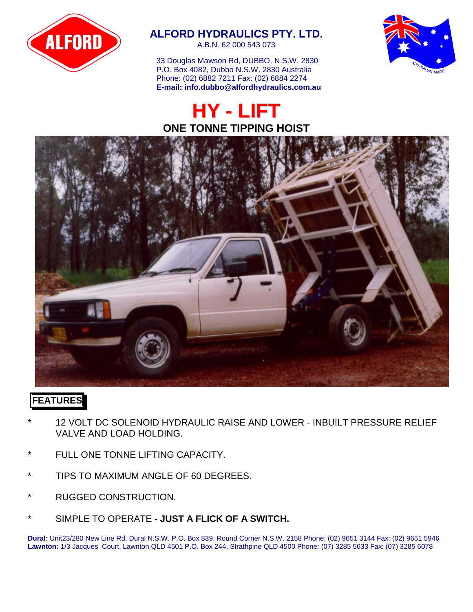

## **ALFORD HYDRAULICS PTY. LTD.**

A.B.N. 62 000 543 073

33 Douglas Mawson Rd, DUBBO, N.S.W. 2830 P.O. Box 4082, Dubbo N.S.W. 2830 Australia Phone: (02) 6882 7211 Fax: (02) 6884 2274  **E-mail: info.dubbo@alfordhydraulics.com.au**





#### **FEATURES**

- 12 VOLT DC SOLENOID HYDRAULIC RAISE AND LOWER INBUILT PRESSURE RELIEF VALVE AND LOAD HOLDING.
- FULL ONE TONNE LIFTING CAPACITY.
- TIPS TO MAXIMUM ANGLE OF 60 DEGREES.
- RUGGED CONSTRUCTION.
- SIMPLE TO OPERATE **JUST A FLICK OF A SWITCH.**

**Dural:** Unit23/280 New Line Rd, Dural N.S.W. P.O. Box 839, Round Corner N.S.W. 2158 Phone: (02) 9651 3144 Fax: (02) 9651 5946 **Lawnton:** 1/3 Jacques Court, Lawnton QLD 4501 P.O. Box 244, Strathpine QLD 4500 Phone: (07) 3285 5633 Fax: (07) 3285 6078